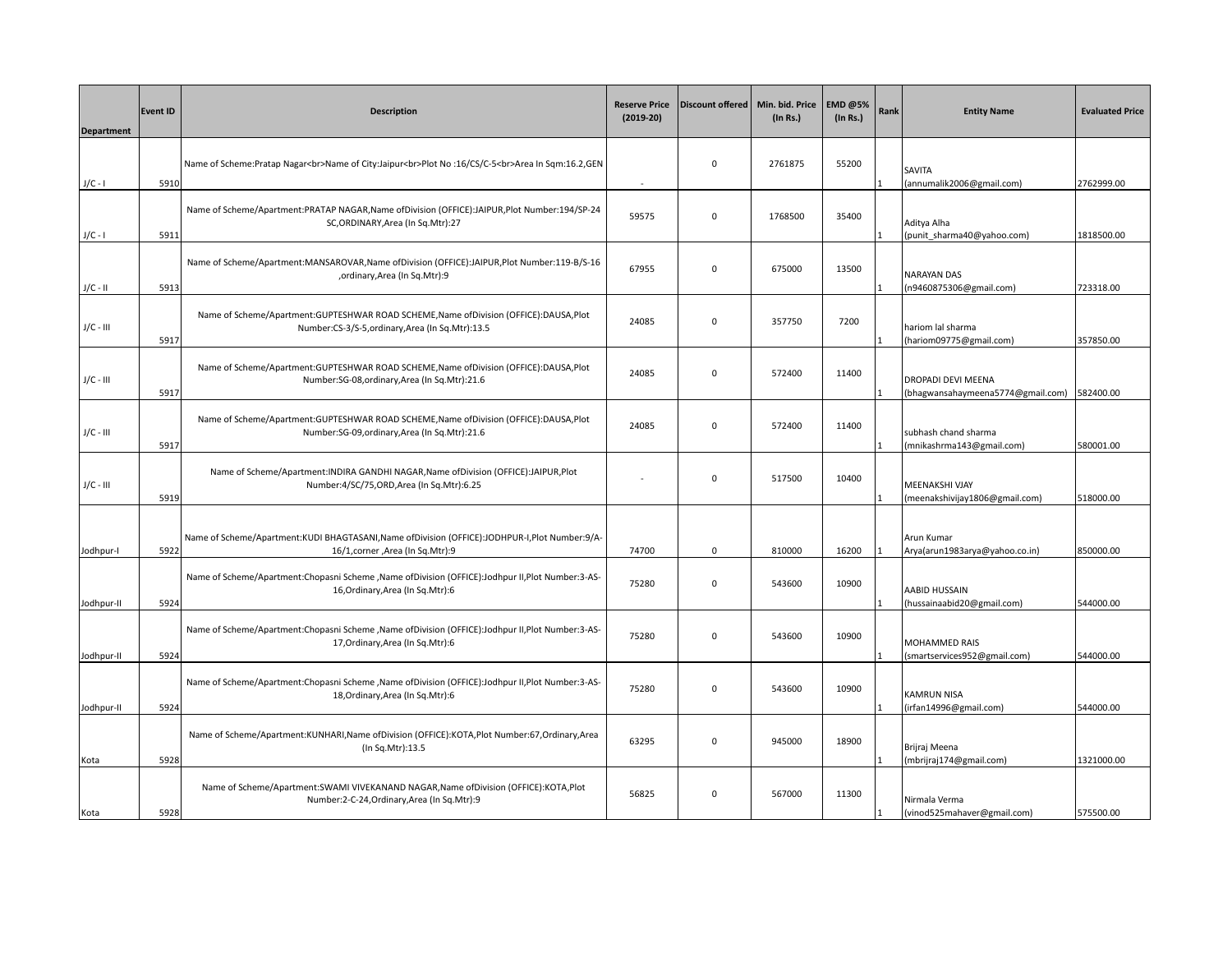| <b>Department</b> | <b>Event ID</b> | Description                                                                                                                                | <b>Reserve Price</b><br>$(2019-20)$ | Discount offered   Min. bid. Price | (In Rs.) | EMD @5%<br>(In Rs.) | Rank | <b>Entity Name</b>                                      | <b>Evaluated Price</b> |
|-------------------|-----------------|--------------------------------------------------------------------------------------------------------------------------------------------|-------------------------------------|------------------------------------|----------|---------------------|------|---------------------------------------------------------|------------------------|
| $J/C - I$         | 5910            | Name of Scheme:Pratap Nagar<br>Name of City:Jaipur<br>Plot No :16/CS/C-5<br>Area In Sqm:16.2,GEN                                           |                                     | $\mathbf 0$                        | 2761875  | 55200               |      | <b>SAVITA</b><br>(annumalik2006@gmail.com)              | 2762999.00             |
| $J/C - I$         | 5911            | Name of Scheme/Apartment:PRATAP NAGAR, Name of Division (OFFICE):JAIPUR, Plot Number:194/SP-24<br>SC, ORDINARY, Area (In Sq. Mtr): 27      | 59575                               | $\mathbf 0$                        | 1768500  | 35400               |      | Aditya Alha<br>(punit sharma40@yahoo.com)               | 1818500.00             |
| $J/C - II$        | 5913            | Name of Scheme/Apartment:MANSAROVAR, Name of Division (OFFICE):JAIPUR, Plot Number:119-B/S-16<br>,ordinary,Area (In Sq.Mtr):9              | 67955                               | $\mathbf 0$                        | 675000   | 13500               |      | <b>NARAYAN DAS</b><br>(n9460875306@gmail.com)           | 723318.00              |
| J/C - III         | 5917            | Name of Scheme/Apartment:GUPTESHWAR ROAD SCHEME, Name of Division (OFFICE):DAUSA, Plot<br>Number:CS-3/S-5, ordinary, Area (In Sq.Mtr):13.5 | 24085                               | $\mathbf 0$                        | 357750   | 7200                |      | hariom lal sharma<br>(hariom09775@gmail.com)            | 357850.00              |
| $J/C - III$       | 5917            | Name of Scheme/Apartment:GUPTESHWAR ROAD SCHEME, Name of Division (OFFICE):DAUSA, Plot<br>Number:SG-08,ordinary,Area (In Sq.Mtr):21.6      | 24085                               | $\mathbf 0$                        | 572400   | 11400               |      | DROPADI DEVI MEENA<br>(bhagwansahaymeena5774@gmail.com) | 582400.00              |
| $J/C - III$       | 5917            | Name of Scheme/Apartment:GUPTESHWAR ROAD SCHEME, Name of Division (OFFICE):DAUSA, Plot<br>Number:SG-09,ordinary,Area (In Sq.Mtr):21.6      | 24085                               | $\mathbf 0$                        | 572400   | 11400               |      | subhash chand sharma<br>(mnikashrma143@gmail.com)       | 580001.00              |
| $J/C - III$       | 5919            | Name of Scheme/Apartment:INDIRA GANDHI NAGAR, Name of Division (OFFICE):JAIPUR, Plot<br>Number:4/SC/75,ORD,Area (In Sq.Mtr):6.25           |                                     | $\mathbf 0$                        | 517500   | 10400               |      | <b>MEENAKSHI VJAY</b><br>(meenakshivijay1806@gmail.com) | 518000.00              |
| Jodhpur-I         | 5922            | Name of Scheme/Apartment:KUDI BHAGTASANI, Name of Division (OFFICE):JODHPUR-I, Plot Number:9/A-<br>16/1, corner , Area (In Sq.Mtr): 9      | 74700                               | $\mathbf 0$                        | 810000   | 16200               |      | Arun Kumar<br>Arya(arun1983arya@yahoo.co.in)            | 850000.00              |
| Jodhpur-II        | 5924            | Name of Scheme/Apartment:Chopasni Scheme, Name of Division (OFFICE):Jodhpur II, Plot Number:3-AS-<br>16, Ordinary, Area (In Sq. Mtr): 6    | 75280                               | $\mathbf 0$                        | 543600   | 10900               |      | <b>AABID HUSSAIN</b><br>(hussainaabid20@gmail.com)      | 544000.00              |
| Jodhpur-II        | 5924            | Name of Scheme/Apartment:Chopasni Scheme ,Name ofDivision (OFFICE):Jodhpur II,Plot Number:3-AS-<br>17, Ordinary, Area (In Sq. Mtr): 6      | 75280                               | 0                                  | 543600   | 10900               |      | MOHAMMED RAIS<br>(smartservices952@gmail.com)           | 544000.00              |
| Jodhpur-II        | 5924            | Name of Scheme/Apartment:Chopasni Scheme, Name of Division (OFFICE):Jodhpur II, Plot Number:3-AS-<br>18, Ordinary, Area (In Sq. Mtr): 6    | 75280                               | $\mathbf 0$                        | 543600   | 10900               |      | <b>KAMRUN NISA</b><br>(irfan14996@gmail.com)            | 544000.00              |
| Kota              | 5928            | Name of Scheme/Apartment:KUNHARI,Name ofDivision (OFFICE):KOTA,Plot Number:67,Ordinary,Area<br>(In Sq.Mtr):13.5                            | 63295                               | $\mathbf 0$                        | 945000   | 18900               |      | Brijraj Meena<br>(mbrijraj174@gmail.com)                | 1321000.00             |
| Kota              | 5928            | Name of Scheme/Apartment:SWAMI VIVEKANAND NAGAR, Name of Division (OFFICE):KOTA, Plot<br>Number:2-C-24, Ordinary, Area (In Sq. Mtr):9      | 56825                               | $\mathbf 0$                        | 567000   | 11300               |      | Nirmala Verma<br>(vinod525mahaver@gmail.com)            | 575500.00              |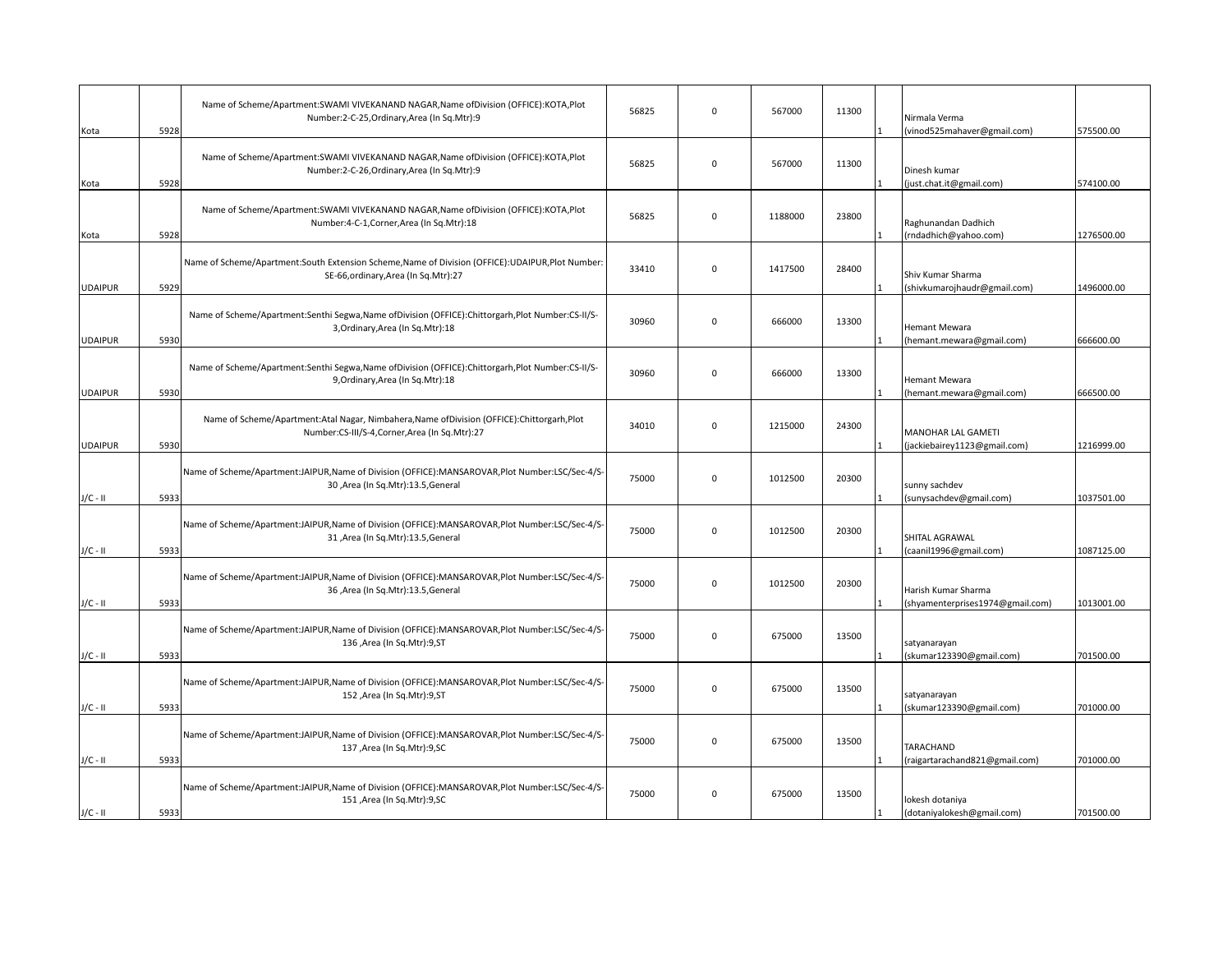| Kota           | 5928 | Name of Scheme/Apartment:SWAMI VIVEKANAND NAGAR, Name of Division (OFFICE):KOTA, Plot<br>Number:2-C-25, Ordinary, Area (In Sq. Mtr):9      | 56825 | $\mathbf 0$ | 567000  | 11300 | Nirmala Verma<br>(vinod525mahaver@gmail.com)            | 575500.00  |
|----------------|------|--------------------------------------------------------------------------------------------------------------------------------------------|-------|-------------|---------|-------|---------------------------------------------------------|------------|
| Kota           | 5928 | Name of Scheme/Apartment:SWAMI VIVEKANAND NAGAR, Name of Division (OFFICE):KOTA, Plot<br>Number:2-C-26, Ordinary, Area (In Sq. Mtr):9      | 56825 | $\mathbf 0$ | 567000  | 11300 | Dinesh kumar<br>(just.chat.it@gmail.com)                | 574100.00  |
| Kota           | 5928 | Name of Scheme/Apartment:SWAMI VIVEKANAND NAGAR, Name of Division (OFFICE):KOTA, Plot<br>Number:4-C-1, Corner, Area (In Sq. Mtr):18        | 56825 | 0           | 1188000 | 23800 | Raghunandan Dadhich<br>(rndadhich@yahoo.com)            | 1276500.00 |
| <b>UDAIPUR</b> | 5929 | Name of Scheme/Apartment:South Extension Scheme,Name of Division (OFFICE):UDAIPUR,Plot Number:<br>SE-66, ordinary, Area (In Sq. Mtr): 27   | 33410 | $\mathbf 0$ | 1417500 | 28400 | Shiv Kumar Sharma<br>(shivkumarojhaudr@gmail.com)       | 1496000.00 |
| <b>UDAIPUR</b> | 5930 | Name of Scheme/Apartment:Senthi Segwa,Name ofDivision (OFFICE):Chittorgarh,Plot Number:CS-II/S-<br>3, Ordinary, Area (In Sq. Mtr): 18      | 30960 | $\mathbf 0$ | 666000  | 13300 | Hemant Mewara<br>(hemant.mewara@gmail.com)              | 666600.00  |
| UDAIPUR        | 5930 | Name of Scheme/Apartment:Senthi Segwa,Name ofDivision (OFFICE):Chittorgarh,Plot Number:CS-II/S-<br>9, Ordinary, Area (In Sq. Mtr): 18      | 30960 | 0           | 666000  | 13300 | Hemant Mewara<br>(hemant.mewara@gmail.com)              | 666500.00  |
| <b>UDAIPUR</b> | 5930 | Name of Scheme/Apartment:Atal Nagar, Nimbahera,Name ofDivision (OFFICE):Chittorgarh,Plot<br>Number:CS-III/S-4, Corner, Area (In Sq.Mtr):27 | 34010 | $\mathbf 0$ | 1215000 | 24300 | MANOHAR LAL GAMETI<br>(jackiebairey1123@gmail.com)      | 1216999.00 |
| J/C - II       | 5933 | Name of Scheme/Apartment:JAIPUR,Name of Division (OFFICE):MANSAROVAR,Plot Number:LSC/Sec-4/S-<br>30, Area (In Sq.Mtr):13.5, General        | 75000 | $\mathbf 0$ | 1012500 | 20300 | sunny sachdev<br>(sunysachdev@gmail.com)                | 1037501.00 |
| J/C - II       | 5933 | Name of Scheme/Apartment:JAIPUR,Name of Division (OFFICE):MANSAROVAR,Plot Number:LSC/Sec-4/S-<br>31 ,Area (In Sq.Mtr):13.5,General         | 75000 | 0           | 1012500 | 20300 | SHITAL AGRAWAL<br>(caanil1996@gmail.com)                | 1087125.00 |
| J/C - II       | 5933 | Name of Scheme/Apartment:JAIPUR,Name of Division (OFFICE):MANSAROVAR,Plot Number:LSC/Sec-4/S-<br>36 ,Area (In Sq.Mtr):13.5,General         | 75000 | $\pmb{0}$   | 1012500 | 20300 | Harish Kumar Sharma<br>(shyamenterprises1974@gmail.com) | 1013001.00 |
| $J/C - II$     | 5933 | Name of Scheme/Apartment:JAIPUR, Name of Division (OFFICE):MANSAROVAR, Plot Number:LSC/Sec-4/S-<br>136, Area (In Sq.Mtr): 9, ST            | 75000 | $\mathbf 0$ | 675000  | 13500 | satyanarayan<br>(skumar123390@gmail.com)                | 701500.00  |
| J/C - II       | 5933 | Name of Scheme/Apartment:JAIPUR,Name of Division (OFFICE):MANSAROVAR,Plot Number:LSC/Sec-4/S-<br>152, Area (In Sq.Mtr): 9, ST              | 75000 | 0           | 675000  | 13500 | satyanarayan<br>(skumar123390@gmail.com)                | 701000.00  |
| J/C - II       | 5933 | Name of Scheme/Apartment:JAIPUR,Name of Division (OFFICE):MANSAROVAR,Plot Number:LSC/Sec-4/S-<br>137, Area (In Sq.Mtr): 9, SC              | 75000 | $\pmb{0}$   | 675000  | 13500 | <b>TARACHAND</b><br>(raigartarachand821@gmail.com)      | 701000.00  |
| $J/C - II$     | 5933 | Name of Scheme/Apartment:JAIPUR,Name of Division (OFFICE):MANSAROVAR,Plot Number:LSC/Sec-4/S-<br>151, Area (In Sq.Mtr): 9, SC              | 75000 | $\mathbf 0$ | 675000  | 13500 | lokesh dotaniya<br>(dotaniyalokesh@gmail.com)           | 701500.00  |